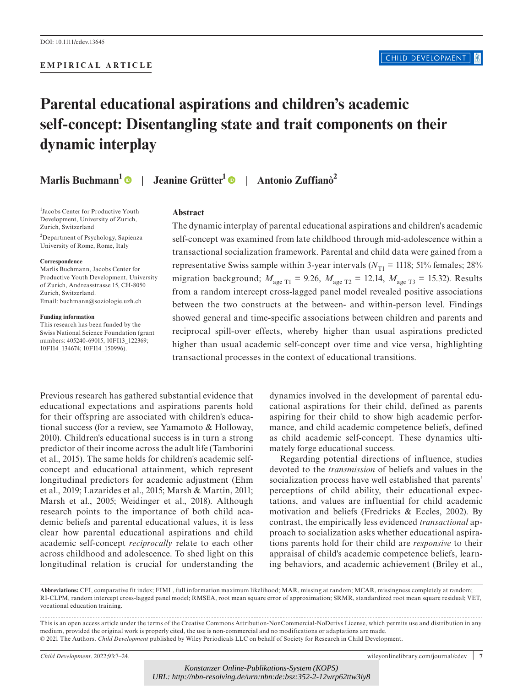#### **EMPIRICAL ARTICLE**

# **Parental educational aspirations and children's academic self-concept: Disentangling state and trait components on their dynamic interplay**

**Marlis Buchmann<sup>[1](https://orcid.org/0000-0002-4162-3226)</sup> | Jeanine Grütter<sup>1</sup> | Antonio Zuffianò<sup>2</sup>** 

1 Jacobs Center for Productive Youth Development, University of Zurich, Zurich, Switzerland

2 Department of Psychology, Sapienza University of Rome, Rome, Italy

#### **Correspondence**

Marlis Buchmann, Jacobs Center for Productive Youth Development, University of Zurich, Andreasstrasse 15, CH-8050 Zurich, Switzerland. Email: [buchmann@soziologie.uzh.ch](mailto:buchmann@soziologie.uzh.ch)

#### **Funding information**

This research has been funded by the Swiss National Science Foundation (grant numbers: 405240-69015, 10FI13\_122369; 10FI14\_134674; 10FI14\_150996).

#### **Abstract**

The dynamic interplay of parental educational aspirations and children's academic self-concept was examined from late childhood through mid-adolescence within a transactional socialization framework. Parental and child data were gained from a representative Swiss sample within 3-year intervals ( $N_{\text{T1}}$  = 1118; 51% females; 28% migration background;  $M_{\text{age T1}} = 9.26$ ,  $M_{\text{age T2}} = 12.14$ ,  $M_{\text{age T3}} = 15.32$ ). Results from a random intercept cross-lagged panel model revealed positive associations between the two constructs at the between- and within-person level. Findings showed general and time-specific associations between children and parents and reciprocal spill-over effects, whereby higher than usual aspirations predicted higher than usual academic self-concept over time and vice versa, highlighting transactional processes in the context of educational transitions.

Previous research has gathered substantial evidence that educational expectations and aspirations parents hold for their offspring are associated with children's educational success (for a review, see Yamamoto & Holloway, 2010). Children's educational success is in turn a strong predictor of their income across the adult life (Tamborini et al., 2015). The same holds for children's academic selfconcept and educational attainment, which represent longitudinal predictors for academic adjustment (Ehm et al., 2019; Lazarides et al., 2015; Marsh & Martin, 2011; Marsh et al., 2005; Weidinger et al., 2018). Although research points to the importance of both child academic beliefs and parental educational values, it is less clear how parental educational aspirations and child academic self-concept *reciprocally* relate to each other across childhood and adolescence. To shed light on this longitudinal relation is crucial for understanding the

dynamics involved in the development of parental educational aspirations for their child, defined as parents aspiring for their child to show high academic performance, and child academic competence beliefs, defined as child academic self-concept. These dynamics ultimately forge educational success.

Regarding potential directions of influence, studies devoted to the *transmission* of beliefs and values in the socialization process have well established that parents' perceptions of child ability, their educational expectations, and values are influential for child academic motivation and beliefs (Fredricks & Eccles, 2002). By contrast, the empirically less evidenced *transactional* approach to socialization asks whether educational aspirations parents hold for their child are *responsive* to their appraisal of child's academic competence beliefs, learning behaviors, and academic achievement (Briley et al.,

**Abbreviations:** CFI, comparative fit index; FIML, full information maximum likelihood; MAR, missing at random; MCAR, missingness completely at random; RI-CLPM, random intercept cross-lagged panel model; RMSEA, root mean square error of approximation; SRMR, standardized root mean square residual; VET, vocational education training.

This is an open access article under the terms of the [Creative Commons Attribution-NonCommercial-NoDerivs](http://creativecommons.org/licenses/by-nc-nd/4.0/) License, which permits use and distribution in any medium, provided the original work is properly cited, the use is non-commercial and no modifications or adaptations are made. © 2021 The Authors. *Child Development* published by Wiley Periodicals LLC on behalf of Society for Research in Child Development.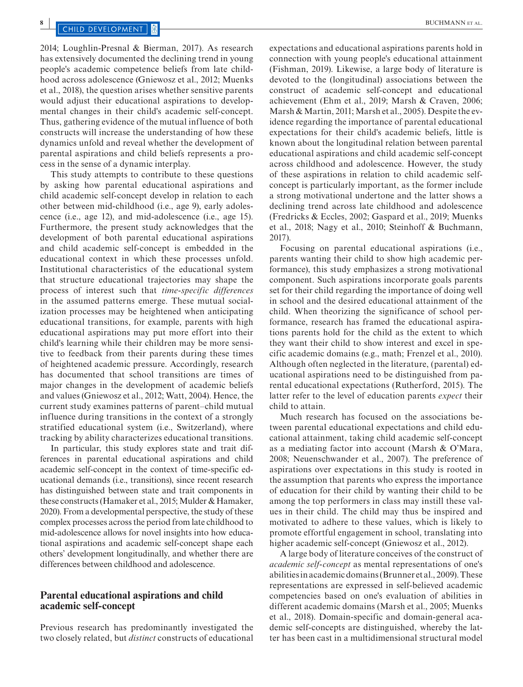2014; Loughlin-Presnal & Bierman, 2017). As research has extensively documented the declining trend in young people's academic competence beliefs from late childhood across adolescence (Gniewosz et al., 2012; Muenks et al., 2018), the question arises whether sensitive parents would adjust their educational aspirations to developmental changes in their child's academic self-concept. Thus, gathering evidence of the mutual influence of both constructs will increase the understanding of how these dynamics unfold and reveal whether the development of parental aspirations and child beliefs represents a process in the sense of a dynamic interplay.

This study attempts to contribute to these questions by asking how parental educational aspirations and child academic self-concept develop in relation to each other between mid-childhood (i.e., age 9), early adolescence (i.e., age 12), and mid-adolescence (i.e., age 15). Furthermore, the present study acknowledges that the development of both parental educational aspirations and child academic self-concept is embedded in the educational context in which these processes unfold. Institutional characteristics of the educational system that structure educational trajectories may shape the process of interest such that *time-specific differences* in the assumed patterns emerge. These mutual socialization processes may be heightened when anticipating educational transitions, for example, parents with high educational aspirations may put more effort into their child's learning while their children may be more sensitive to feedback from their parents during these times of heightened academic pressure. Accordingly, research has documented that school transitions are times of major changes in the development of academic beliefs and values (Gniewosz et al., 2012; Watt, 2004). Hence, the current study examines patterns of parent–child mutual influence during transitions in the context of a strongly stratified educational system (i.e., Switzerland), where tracking by ability characterizes educational transitions.

In particular, this study explores state and trait differences in parental educational aspirations and child academic self-concept in the context of time-specific educational demands (i.e., transitions), since recent research has distinguished between state and trait components in these constructs (Hamaker et al., 2015; Mulder & Hamaker, 2020). From a developmental perspective, the study of these complex processes across the period from late childhood to mid-adolescence allows for novel insights into how educational aspirations and academic self-concept shape each others' development longitudinally, and whether there are differences between childhood and adolescence.

#### **Parental educational aspirations and child academic self-concept**

Previous research has predominantly investigated the two closely related, but *distinct* constructs of educational

expectations and educational aspirations parents hold in connection with young people's educational attainment (Fishman, 2019). Likewise, a large body of literature is devoted to the (longitudinal) associations between the construct of academic self-concept and educational achievement (Ehm et al., 2019; Marsh & Craven, 2006; Marsh & Martin, 2011; Marsh et al., 2005). Despite the evidence regarding the importance of parental educational expectations for their child's academic beliefs, little is known about the longitudinal relation between parental educational aspirations and child academic self-concept across childhood and adolescence. However, the study of these aspirations in relation to child academic selfconcept is particularly important, as the former include a strong motivational undertone and the latter shows a declining trend across late childhood and adolescence (Fredricks & Eccles, 2002; Gaspard et al., 2019; Muenks et al., 2018; Nagy et al., 2010; Steinhoff & Buchmann, 2017).

Focusing on parental educational aspirations (i.e., parents wanting their child to show high academic performance), this study emphasizes a strong motivational component. Such aspirations incorporate goals parents set for their child regarding the importance of doing well in school and the desired educational attainment of the child. When theorizing the significance of school performance, research has framed the educational aspirations parents hold for the child as the extent to which they want their child to show interest and excel in specific academic domains (e.g., math; Frenzel et al., 2010). Although often neglected in the literature, (parental) educational aspirations need to be distinguished from parental educational expectations (Rutherford, 2015). The latter refer to the level of education parents *expect* their child to attain.

Much research has focused on the associations between parental educational expectations and child educational attainment, taking child academic self-concept as a mediating factor into account (Marsh & O'Mara, 2008; Neuenschwander et al., 2007). The preference of aspirations over expectations in this study is rooted in the assumption that parents who express the importance of education for their child by wanting their child to be among the top performers in class may instill these values in their child. The child may thus be inspired and motivated to adhere to these values, which is likely to promote effortful engagement in school, translating into higher academic self-concept (Gniewosz et al., 2012).

A large body of literature conceives of the construct of *academic self-concept* as mental representations of one's abilities in academic domains (Brunner et al., 2009). These representations are expressed in self-believed academic competencies based on one's evaluation of abilities in different academic domains (Marsh et al., 2005; Muenks et al., 2018). Domain-specific and domain-general academic self-concepts are distinguished, whereby the latter has been cast in a multidimensional structural model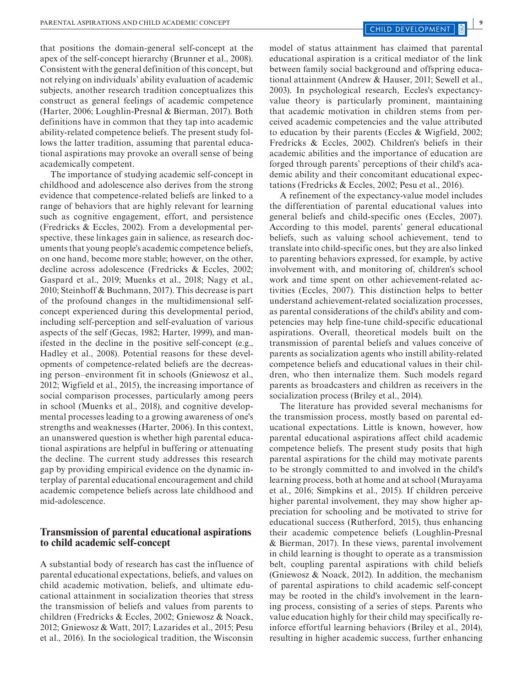that positions the domain-general self-concept at the apex of the self-concept hierarchy (Brunner et al., 2008). Consistent with the general definition of this concept, but not relying on individuals' ability evaluation of academic subjects, another research tradition conceptualizes this construct as general feelings of academic competence (Harter, 2006; Loughlin-Presnal & Bierman, 2017). Both definitions have in common that they tap into academic ability-related competence beliefs. The present study follows the latter tradition, assuming that parental educational aspirations may provoke an overall sense of being academically competent.

The importance of studying academic self-concept in childhood and adolescence also derives from the strong evidence that competence-related beliefs are linked to a range of behaviors that are highly relevant for learning such as cognitive engagement, effort, and persistence (Fredricks & Eccles, 2002). From a developmental perspective, these linkages gain in salience, as research documents that young people's academic competence beliefs, on one hand, become more stable; however, on the other, decline across adolescence (Fredricks & Eccles, 2002; Gaspard et al., 2019; Muenks et al., 2018; Nagy et al., 2010; Steinhoff & Buchmann, 2017). This decrease is part of the profound changes in the multidimensional selfconcept experienced during this developmental period, including self-perception and self-evaluation of various aspects of the self (Gecas, 1982; Harter, 1999), and manifested in the decline in the positive self-concept (e.g., Hadley et al., 2008). Potential reasons for these developments of competence-related beliefs are the decreasing person–environment fit in schools (Gniewosz et al., 2012; Wigfield et al., 2015), the increasing importance of social comparison processes, particularly among peers in school (Muenks et al., 2018), and cognitive developmental processes leading to a growing awareness of one's strengths and weaknesses (Harter, 2006). In this context, an unanswered question is whether high parental educational aspirations are helpful in buffering or attenuating the decline. The current study addresses this research gap by providing empirical evidence on the dynamic interplay of parental educational encouragement and child academic competence beliefs across late childhood and mid-adolescence.

### **Transmission of parental educational aspirations to child academic self-concept**

A substantial body of research has cast the influence of parental educational expectations, beliefs, and values on child academic motivation, beliefs, and ultimate educational attainment in socialization theories that stress the transmission of beliefs and values from parents to children (Fredricks & Eccles, 2002; Gniewosz & Noack, 2012; Gniewosz & Watt, 2017; Lazarides et al., 2015; Pesu et al., 2016). In the sociological tradition, the Wisconsin

model of status attainment has claimed that parental educational aspiration is a critical mediator of the link between family social background and offspring educational attainment (Andrew & Hauser, 2011; Sewell et al., 2003). In psychological research, Eccles's expectancyvalue theory is particularly prominent, maintaining that academic motivation in children stems from perceived academic competencies and the value attributed to education by their parents (Eccles & Wigfield, 2002; Fredricks & Eccles, 2002). Children's beliefs in their academic abilities and the importance of education are forged through parents' perceptions of their child's academic ability and their concomitant educational expectations (Fredricks & Eccles, 2002; Pesu et al., 2016).

A refinement of the expectancy-value model includes the differentiation of parental educational values into general beliefs and child-specific ones (Eccles, 2007). According to this model, parents' general educational beliefs, such as valuing school achievement, tend to translate into child-specific ones, but they are also linked to parenting behaviors expressed, for example, by active involvement with, and monitoring of, children's school work and time spent on other achievement-related activities (Eccles, 2007). This distinction helps to better understand achievement-related socialization processes, as parental considerations of the child's ability and competencies may help fine-tune child-specific educational aspirations. Overall, theoretical models built on the transmission of parental beliefs and values conceive of parents as socialization agents who instill ability-related competence beliefs and educational values in their children, who then internalize them. Such models regard parents as broadcasters and children as receivers in the socialization process (Briley et al., 2014).

The literature has provided several mechanisms for the transmission process, mostly based on parental educational expectations. Little is known, however, how parental educational aspirations affect child academic competence beliefs. The present study posits that high parental aspirations for the child may motivate parents to be strongly committed to and involved in the child's learning process, both at home and at school (Murayama et al., 2016; Simpkins et al., 2015). If children perceive higher parental involvement, they may show higher appreciation for schooling and be motivated to strive for educational success (Rutherford, 2015), thus enhancing their academic competence beliefs (Loughlin-Presnal & Bierman, 2017). In these views, parental involvement in child learning is thought to operate as a transmission belt, coupling parental aspirations with child beliefs (Gniewosz & Noack, 2012). In addition, the mechanism of parental aspirations to child academic self-concept may be rooted in the child's involvement in the learning process, consisting of a series of steps. Parents who value education highly for their child may specifically reinforce effortful learning behaviors (Briley et al., 2014), resulting in higher academic success, further enhancing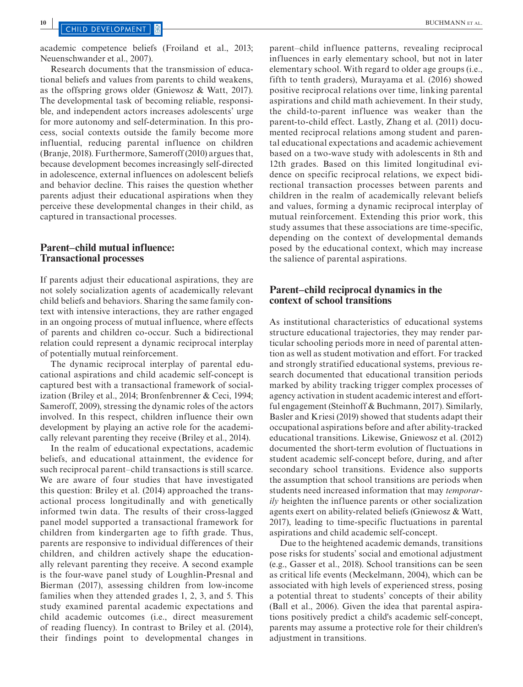academic competence beliefs (Froiland et al., 2013; Neuenschwander et al., 2007).

Research documents that the transmission of educational beliefs and values from parents to child weakens, as the offspring grows older (Gniewosz & Watt, 2017). The developmental task of becoming reliable, responsible, and independent actors increases adolescents' urge for more autonomy and self-determination. In this process, social contexts outside the family become more influential, reducing parental influence on children (Branje, 2018). Furthermore, Sameroff (2010) argues that, because development becomes increasingly self-directed in adolescence, external influences on adolescent beliefs and behavior decline. This raises the question whether parents adjust their educational aspirations when they perceive these developmental changes in their child, as captured in transactional processes.

#### **Parent–child mutual influence: Transactional processes**

If parents adjust their educational aspirations, they are not solely socialization agents of academically relevant child beliefs and behaviors. Sharing the same family context with intensive interactions, they are rather engaged in an ongoing process of mutual influence, where effects of parents and children co-occur. Such a bidirectional relation could represent a dynamic reciprocal interplay of potentially mutual reinforcement.

The dynamic reciprocal interplay of parental educational aspirations and child academic self-concept is captured best with a transactional framework of socialization (Briley et al., 2014; Bronfenbrenner & Ceci, 1994; Sameroff, 2009), stressing the dynamic roles of the actors involved. In this respect, children influence their own development by playing an active role for the academically relevant parenting they receive (Briley et al., 2014).

In the realm of educational expectations, academic beliefs, and educational attainment, the evidence for such reciprocal parent–child transactions is still scarce. We are aware of four studies that have investigated this question: Briley et al. (2014) approached the transactional process longitudinally and with genetically informed twin data. The results of their cross-lagged panel model supported a transactional framework for children from kindergarten age to fifth grade. Thus, parents are responsive to individual differences of their children, and children actively shape the educationally relevant parenting they receive. A second example is the four-wave panel study of Loughlin-Presnal and Bierman (2017), assessing children from low-income families when they attended grades 1, 2, 3, and 5. This study examined parental academic expectations and child academic outcomes (i.e., direct measurement of reading fluency). In contrast to Briley et al. (2014), their findings point to developmental changes in

parent–child influence patterns, revealing reciprocal influences in early elementary school, but not in later elementary school. With regard to older age groups (i.e., fifth to tenth graders), Murayama et al. (2016) showed positive reciprocal relations over time, linking parental aspirations and child math achievement. In their study, the child-to-parent influence was weaker than the parent-to-child effect. Lastly, Zhang et al. (2011) documented reciprocal relations among student and parental educational expectations and academic achievement based on a two-wave study with adolescents in 8th and 12th grades. Based on this limited longitudinal evidence on specific reciprocal relations, we expect bidirectional transaction processes between parents and children in the realm of academically relevant beliefs and values, forming a dynamic reciprocal interplay of mutual reinforcement. Extending this prior work, this study assumes that these associations are time-specific, depending on the context of developmental demands posed by the educational context, which may increase the salience of parental aspirations.

#### **Parent–child reciprocal dynamics in the context of school transitions**

As institutional characteristics of educational systems structure educational trajectories, they may render particular schooling periods more in need of parental attention as well as student motivation and effort. For tracked and strongly stratified educational systems, previous research documented that educational transition periods marked by ability tracking trigger complex processes of agency activation in student academic interest and effortful engagement (Steinhoff & Buchmann, 2017). Similarly, Basler and Kriesi (2019) showed that students adapt their occupational aspirations before and after ability-tracked educational transitions. Likewise, Gniewosz et al. (2012) documented the short-term evolution of fluctuations in student academic self-concept before, during, and after secondary school transitions. Evidence also supports the assumption that school transitions are periods when students need increased information that may *temporarily* heighten the influence parents or other socialization agents exert on ability-related beliefs (Gniewosz & Watt, 2017), leading to time-specific fluctuations in parental aspirations and child academic self-concept.

Due to the heightened academic demands, transitions pose risks for students' social and emotional adjustment (e.g., Gasser et al., 2018). School transitions can be seen as critical life events (Meckelmann, 2004), which can be associated with high levels of experienced stress, posing a potential threat to students' concepts of their ability (Ball et al., 2006). Given the idea that parental aspirations positively predict a child's academic self-concept, parents may assume a protective role for their children's adjustment in transitions.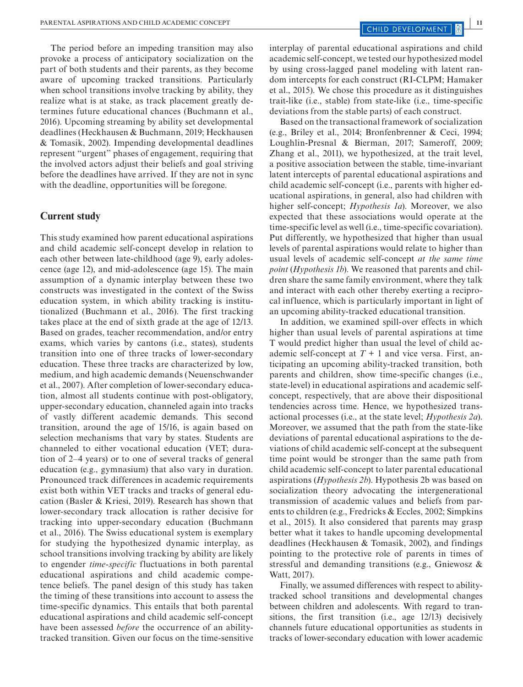The period before an impeding transition may also provoke a process of anticipatory socialization on the part of both students and their parents, as they become aware of upcoming tracked transitions. Particularly when school transitions involve tracking by ability, they realize what is at stake, as track placement greatly determines future educational chances (Buchmann et al., 2016). Upcoming streaming by ability set developmental deadlines (Heckhausen & Buchmann, 2019; Heckhausen & Tomasik, 2002). Impending developmental deadlines represent "urgent" phases of engagement, requiring that the involved actors adjust their beliefs and goal striving before the deadlines have arrived. If they are not in sync with the deadline, opportunities will be foregone.

### **Current study**

This study examined how parent educational aspirations and child academic self-concept develop in relation to each other between late-childhood (age 9), early adolescence (age 12), and mid-adolescence (age 15). The main assumption of a dynamic interplay between these two constructs was investigated in the context of the Swiss education system, in which ability tracking is institutionalized (Buchmann et al., 2016). The first tracking takes place at the end of sixth grade at the age of 12/13. Based on grades, teacher recommendation, and/or entry exams, which varies by cantons (i.e., states), students transition into one of three tracks of lower-secondary education. These three tracks are characterized by low, medium, and high academic demands (Neuenschwander et al., 2007). After completion of lower-secondary education, almost all students continue with post-obligatory, upper-secondary education, channeled again into tracks of vastly different academic demands. This second transition, around the age of 15/16, is again based on selection mechanisms that vary by states. Students are channeled to either vocational education (VET; duration of 2–4 years) or to one of several tracks of general education (e.g., gymnasium) that also vary in duration. Pronounced track differences in academic requirements exist both within VET tracks and tracks of general education (Basler & Kriesi, 2019). Research has shown that lower-secondary track allocation is rather decisive for tracking into upper-secondary education (Buchmann et al., 2016). The Swiss educational system is exemplary for studying the hypothesized dynamic interplay, as school transitions involving tracking by ability are likely to engender *time-specific* fluctuations in both parental educational aspirations and child academic competence beliefs. The panel design of this study has taken the timing of these transitions into account to assess the time-specific dynamics. This entails that both parental educational aspirations and child academic self-concept have been assessed *before* the occurrence of an abilitytracked transition. Given our focus on the time-sensitive

interplay of parental educational aspirations and child academic self-concept, we tested our hypothesized model by using cross-lagged panel modeling with latent random intercepts for each construct (RI-CLPM; Hamaker et al., 2015). We chose this procedure as it distinguishes trait-like (i.e., stable) from state-like (i.e., time-specific deviations from the stable parts) of each construct.

Based on the transactional framework of socialization (e.g., Briley et al., 2014; Bronfenbrenner & Ceci, 1994; Loughlin-Presnal & Bierman, 2017; Sameroff, 2009; Zhang et al., 2011), we hypothesized, at the trait level, a positive association between the stable, time-invariant latent intercepts of parental educational aspirations and child academic self-concept (i.e., parents with higher educational aspirations, in general, also had children with higher self-concept; *Hypothesis 1a*). Moreover, we also expected that these associations would operate at the time-specific level as well (i.e., time-specific covariation). Put differently, we hypothesized that higher than usual levels of parental aspirations would relate to higher than usual levels of academic self-concept *at the same time point* (*Hypothesis 1b*). We reasoned that parents and children share the same family environment, where they talk and interact with each other thereby exerting a reciprocal influence, which is particularly important in light of an upcoming ability-tracked educational transition.

In addition, we examined spill-over effects in which higher than usual levels of parental aspirations at time T would predict higher than usual the level of child academic self-concept at  $T + 1$  and vice versa. First, anticipating an upcoming ability-tracked transition, both parents and children, show time-specific changes (i.e., state-level) in educational aspirations and academic selfconcept, respectively, that are above their dispositional tendencies across time. Hence, we hypothesized transactional processes (i.e., at the state level; *Hypothesis 2a*). Moreover, we assumed that the path from the state-like deviations of parental educational aspirations to the deviations of child academic self-concept at the subsequent time point would be stronger than the same path from child academic self-concept to later parental educational aspirations (*Hypothesis 2b*). Hypothesis 2b was based on socialization theory advocating the intergenerational transmission of academic values and beliefs from parents to children (e.g., Fredricks & Eccles, 2002; Simpkins et al., 2015). It also considered that parents may grasp better what it takes to handle upcoming developmental deadlines (Heckhausen & Tomasik, 2002), and findings pointing to the protective role of parents in times of stressful and demanding transitions (e.g., Gniewosz & Watt, 2017).

Finally, we assumed differences with respect to abilitytracked school transitions and developmental changes between children and adolescents. With regard to transitions, the first transition (i.e., age 12/13) decisively channels future educational opportunities as students in tracks of lower-secondary education with lower academic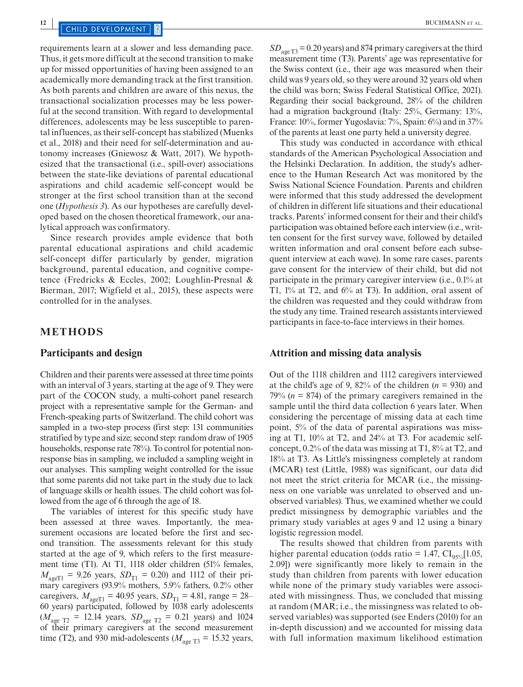## **12 12 DEVELOPMENT 12 EXECUTE 20 CHILD DEVELOPMENT 12 BUCHMANN** ET AL.

requirements learn at a slower and less demanding pace. Thus, it gets more difficult at the second transition to make up for missed opportunities of having been assigned to an academically more demanding track at the first transition. As both parents and children are aware of this nexus, the transactional socialization processes may be less powerful at the second transition. With regard to developmental differences, adolescents may be less susceptible to parental influences, as their self-concept has stabilized (Muenks et al., 2018) and their need for self-determination and autonomy increases (Gniewosz & Watt, 2017). We hypothesized that the transactional (i.e., spill-over) associations between the state-like deviations of parental educational aspirations and child academic self-concept would be stronger at the first school transition than at the second one (*Hypothesis 3*). As our hypotheses are carefully developed based on the chosen theoretical framework, our analytical approach was confirmatory.

Since research provides ample evidence that both parental educational aspirations and child academic self-concept differ particularly by gender, migration background, parental education, and cognitive competence (Fredricks & Eccles, 2002; Loughlin-Presnal & Bierman, 2017; Wigfield et al., 2015), these aspects were controlled for in the analyses.

#### **METHODS**

#### **Participants and design**

Children and their parents were assessed at three time points with an interval of 3 years, starting at the age of 9. They were part of the COCON study, a multi-cohort panel research project with a representative sample for the German- and French-speaking parts of Switzerland. The child cohort was sampled in a two-step process (first step: 131 communities stratified by type and size; second step: random draw of 1905 households, response rate 78%). To control for potential nonresponse bias in sampling, we included a sampling weight in our analyses. This sampling weight controlled for the issue that some parents did not take part in the study due to lack of language skills or health issues. The child cohort was followed from the age of 6 through the age of 18.

The variables of interest for this specific study have been assessed at three waves. Importantly, the measurement occasions are located before the first and second transition. The assessments relevant for this study started at the age of 9, which refers to the first measurement time (T1). At T1, 1118 older children (51% females,  $M_{\text{ageT1}} = 9.26 \text{ years}, SD_{\text{T1}} = 0.20 \text{ and } 1112 \text{ of their pri-}$ mary caregivers (93.9% mothers, 5.9% fathers, 0.2% other caregivers,  $M_{\text{ageT1}} = 40.95$  years,  $SD_{\text{T1}} = 4.81$ , range = 28– 60 years) participated, followed by 1038 early adolescents  $(M_{\text{age T2}} = 12.14 \text{ years}, SD_{\text{age T2}} = 0.21 \text{ years}) \text{ and } 1024$ of their primary caregivers at the second measurement time (T2), and 930 mid-adolescents ( $M_{\text{age T3}} = 15.32$  years,

*SD*<sub>age T3</sub> = 0.20 years) and 874 primary caregivers at the third measurement time (T3). Parents' age was representative for the Swiss context (i.e., their age was measured when their child was 9 years old, so they were around 32 years old when the child was born; Swiss Federal Statistical Office, 2021). Regarding their social background, 28% of the children had a migration background (Italy: 25%, Germany: 13%, France: 10%, former Yugoslavia: 7%, Spain: 6%) and in 37% of the parents at least one party held a university degree.

This study was conducted in accordance with ethical standards of the American Psychological Association and the Helsinki Declaration. In addition, the study's adherence to the Human Research Act was monitored by the Swiss National Science Foundation. Parents and children were informed that this study addressed the development of children in different life situations and their educational tracks. Parents' informed consent for their and their child's participation was obtained before each interview (i.e., written consent for the first survey wave, followed by detailed written information and oral consent before each subsequent interview at each wave). In some rare cases, parents gave consent for the interview of their child, but did not participate in the primary caregiver interview (i.e., 0.1% at T1, 1% at T2, and 6% at T3). In addition, oral assent of the children was requested and they could withdraw from the study any time. Trained research assistants interviewed participants in face-to-face interviews in their homes.

#### **Attrition and missing data analysis**

Out of the 1118 children and 1112 caregivers interviewed at the child's age of 9, 82% of the children  $(n = 930)$  and 79%  $(n = 874)$  of the primary caregivers remained in the sample until the third data collection 6 years later. When considering the percentage of missing data at each time point, 5% of the data of parental aspirations was missing at T1, 10% at T2, and 24% at T3. For academic selfconcept, 0.2% of the data was missing at T1, 8% at T2, and 18% at T3. As Little's missingness completely at random (MCAR) test (Little, 1988) was significant, our data did not meet the strict criteria for MCAR (i.e., the missingness on one variable was unrelated to observed and unobserved variables). Thus, we examined whether we could predict missingness by demographic variables and the primary study variables at ages 9 and 12 using a binary logistic regression model.

The results showed that children from parents with higher parental education (odds ratio = 1.47,  $CI_{95\%}[1.05,$ 2.09]) were significantly more likely to remain in the study than children from parents with lower education while none of the primary study variables were associated with missingness. Thus, we concluded that missing at random (MAR; i.e., the missingness was related to observed variables) was supported (see Enders (2010) for an in-depth discussion) and we accounted for missing data with full information maximum likelihood estimation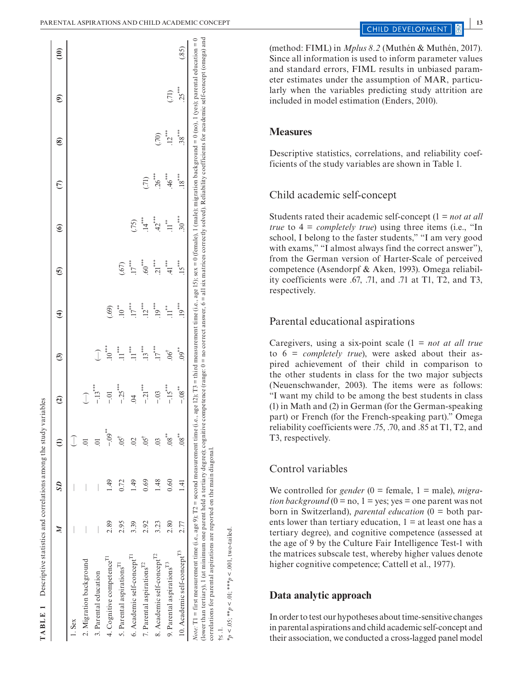|                                         |      | SD              |                    | $\widehat{\mathbf{c}}$ | ල                         | E                 | ⊙َ         | ၜ                 | E           | ຣ        | ම        | $\widehat{\Xi}$ |
|-----------------------------------------|------|-----------------|--------------------|------------------------|---------------------------|-------------------|------------|-------------------|-------------|----------|----------|-----------------|
| $1.$ Sex                                |      |                 |                    |                        |                           |                   |            |                   |             |          |          |                 |
| 2. Migration background                 |      |                 |                    | $\widehat{\mathbb{J}}$ |                           |                   |            |                   |             |          |          |                 |
| 3. Parental education                   |      |                 | 5.                 | $-13***$               |                           |                   |            |                   |             |          |          |                 |
| 4. Cognitive competence <sup>11</sup>   | 2.89 | 49              | $-0.09$            | $-0$                   | $10^{***}$                | (69)              |            |                   |             |          |          |                 |
| 5. Parental aspirations <sup>T1</sup>   | 2.95 | 0.72            | .05                | $-.25***$              | $\cdot$ 11 <sup>***</sup> | $10^{**}$         | (5)        |                   |             |          |          |                 |
| 6. Academic self-concept <sup>11</sup>  | 3.39 | 49              | $\approx$          | $\ddot{5}$             | $\cdot$ 11 <sup>***</sup> | $17***$           | $.17***$   | (75)              |             |          |          |                 |
| 7. Parental aspirations <sup>12</sup>   | 2.92 | 0.69            | $.05$ <sup>†</sup> | $-.21***$              | $.13***$                  | $12^{***}$        | $60^{***}$ | $.14^{***}$       | (.71)       |          |          |                 |
| 8. Academic self-concept <sup>12</sup>  | 3.23 | 1.48            | $\ddot{\circ}$     | $-.03$                 | $.17***$                  | $.19***$          | $21***$    | $42^{***}$        | $26***$     | (70)     |          |                 |
| 9. Parental aspirations <sup>13</sup>   | 2.80 | 0.60            | $^{**}$ 08.        | $-15***$               | $.06^{\dagger}$           | $\prod_{i=1}^{n}$ | 41         | $\prod_{i=1}^{n}$ | $.46^{***}$ | $.12***$ | (71)     |                 |
| 10. Academic self-concept <sup>13</sup> | 2.77 | $\overline{14}$ | $.08^{**}$         | $-0.08$ <sup>**</sup>  | $^{**}$ .09               | $.19***$          | $.15***$   | $.30***$          | $18^{***}$  | $.38***$ | $.25***$ | (.85)           |

(method: FIML) in *Mplus 8.2* (Muthén & Muthén, 2017). Since all information is used to inform parameter values and standard errors, FIML results in unbiased param eter estimates under the assumption of MAR, particu larly when the variables predicting study attrition are included in model estimation (Enders, 2010).

#### **Measures**

Descriptive statistics, correlations, and reliability coefficients of the study variables are shown in Table 1.

### Child academic self-concept

Students rated their academic self-concept (1 = *not at all true* to  $4 = completely true$  *irue*) using three items (i.e., "In school, I belong to the faster students," "I am very good with exams," "I almost always find the correct answer"), from the German version of Harter-Scale of perceived competence (Asendorpf & Aken, 1993). Omega reliabil ity coefficients were .67, .71, and .71 at T1, T2, and T3, respectively.

### Parental educational aspirations

Caregivers, using a six-point scale (1 = *not at all true* to 6 = *completely true*), were asked about their as pired achievement of their child in comparison to the other students in class for the two major subjects (Neuenschwander, 2003). The items were as follows: "I want my child to be among the best students in class (1) in Math and (2) in German (for the German-speaking part) or French (for the French-speaking part)." Omega reliability coefficients were .75, .70, and .85 at T1, T2, and T3, respectively.

## Control variables

We controlled for *gender*  $(0 = \text{female}, 1 = \text{male})$ , *migration background* ( $0 = no$ ,  $1 = yes$ ; yes = one parent was not born in Switzerland), *parental education* (0 = both par ents lower than tertiary education,  $1 = at$  least one has a tertiary degree), and cognitive competence (assessed at the age of 9 by the Culture Fair Intelligence Test-1 with the matrices subscale test, whereby higher values denote higher cognitive competence; Cattell et al., 1977).

#### **Data analytic approach**

†≤ .1.

\**p* < .05; \*\**p* < .01; \*\*\**p* < .001, two-tailed.

 $k_p < .05;$  \*\* $p < .01;$  \*\*\* $p < .001$ ,

two-tailed

In order to test our hypotheses about time-sensitive changes in parental aspirations and child academic self-concept and their association, we conducted a cross-lagged panel model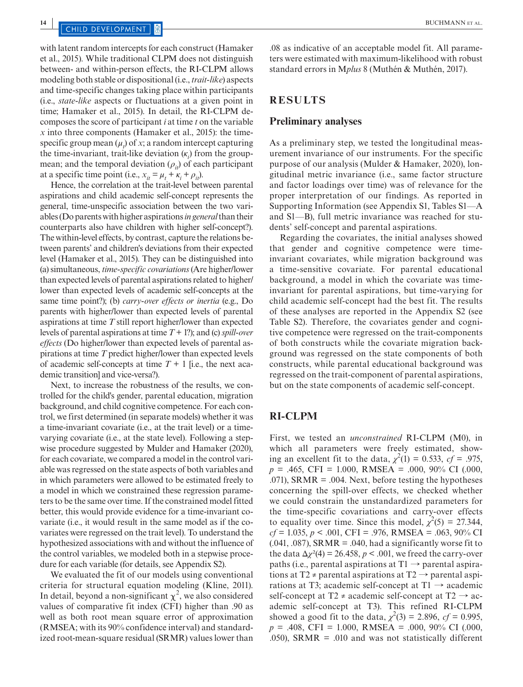## **144 <b>144 INCHER EXECUTAR ET AL. 144 INCHARGE 144 INCHARGE 144 INCHARGE 144 INCHARGE 144 INCHARGE 144 INCHARGE 144 INCHES**

with latent random intercepts for each construct (Hamaker et al., 2015). While traditional CLPM does not distinguish between- and within-person effects, the RI-CLPM allows modeling both stable or dispositional (i.e., *trait-like*) aspects and time-specific changes taking place within participants (i.e., *state-like* aspects or fluctuations at a given point in time; Hamaker et al., 2015). In detail, the RI-CLPM decomposes the score of participant *i* at time *t* on the variable *x* into three components (Hamaker et al., 2015): the timespecific group mean  $(\mu_t)$  of *x*; a random intercept capturing the time-invariant, trait-like deviation (*κ<sup>i</sup>* ) from the groupmean; and the temporal deviation  $(\rho_i)$  of each participant at a specific time point (i.e.,  $x_{it} = \mu_t + \kappa_i + \rho_{it}$ ).

Hence, the correlation at the trait-level between parental aspirations and child academic self-concept represents the general, time-unspecific association between the two variables (Do parents with higher aspirations *in general* than their counterparts also have children with higher self-concept?). The within-level effects, by contrast, capture the relations between parents' and children's deviations from their expected level (Hamaker et al., 2015). They can be distinguished into (a) simultaneous, *time-specific covariations* (Are higher/lower than expected levels of parental aspirations related to higher/ lower than expected levels of academic self-concepts at the same time point?); (b) *carry-over effects or inertia* (e.g., Do parents with higher/lower than expected levels of parental aspirations at time *T* still report higher/lower than expected levels of parental aspirations at time *T* + 1?); and (c) *spill-over effects* (Do higher/lower than expected levels of parental aspirations at time *T* predict higher/lower than expected levels of academic self-concepts at time  $T + 1$  [i.e., the next academic transition] and vice-versa?).

Next, to increase the robustness of the results, we controlled for the child's gender, parental education, migration background, and child cognitive competence. For each control, we first determined (in separate models) whether it was a time-invariant covariate (i.e., at the trait level) or a timevarying covariate (i.e., at the state level). Following a stepwise procedure suggested by Mulder and Hamaker (2020), for each covariate, we compared a model in the control variable was regressed on the state aspects of both variables and in which parameters were allowed to be estimated freely to a model in which we constrained these regression parameters to be the same over time. If the constrained model fitted better, this would provide evidence for a time-invariant covariate (i.e., it would result in the same model as if the covariates were regressed on the trait level). To understand the hypothesized associations with and without the influence of the control variables, we modeled both in a stepwise procedure for each variable (for details, see Appendix S2).

We evaluated the fit of our models using conventional criteria for structural equation modeling (Kline, 2011). In detail, beyond a non-significant  $\chi^2$ , we also considered values of comparative fit index (CFI) higher than .90 as well as both root mean square error of approximation (RMSEA; with its 90% confidence interval) and standardized root-mean-square residual (SRMR) values lower than

.08 as indicative of an acceptable model fit. All parameters were estimated with maximum-likelihood with robust standard errors in M*plus* 8 (Muthén & Muthén, 2017).

#### **RESULTS**

#### **Preliminary analyses**

As a preliminary step, we tested the longitudinal measurement invariance of our instruments. For the specific purpose of our analysis (Mulder & Hamaker, 2020), longitudinal metric invariance (i.e., same factor structure and factor loadings over time) was of relevance for the proper interpretation of our findings. As reported in Supporting Information (see Appendix S1, Tables S1—A and S1—B), full metric invariance was reached for students' self-concept and parental aspirations.

Regarding the covariates, the initial analyses showed that gender and cognitive competence were timeinvariant covariates, while migration background was a time-sensitive covariate. For parental educational background, a model in which the covariate was timeinvariant for parental aspirations, but time-varying for child academic self-concept had the best fit. The results of these analyses are reported in the Appendix S2 (see Table S2). Therefore, the covariates gender and cognitive competence were regressed on the trait-components of both constructs while the covariate migration background was regressed on the state components of both constructs, while parental educational background was regressed on the trait-component of parental aspirations, but on the state components of academic self-concept.

#### **RI-CLPM**

First, we tested an *unconstrained* RI-CLPM (M0), in which all parameters were freely estimated, showing an excellent fit to the data,  $\chi^2(1) = 0.533$ ,  $cf = .975$ ,  $p = .465$ , CFI = 1.000, RMSEA = .000, 90% CI (.000, .071), SRMR = .004. Next, before testing the hypotheses concerning the spill-over effects, we checked whether we could constrain the unstandardized parameters for the time-specific covariations and carry-over effects to equality over time. Since this model,  $\chi^2(5) = 27.344$ , *cf* = 1.035, *p* < .001, CFI = .976, RMSEA = .063, 90% CI  $(0.041, 0.087)$ , SRMR =  $.040$ , had a significantly worse fit to the data  $\Delta \chi^2(4) = 26.458$ ,  $p < .001$ , we freed the carry-over paths (i.e., parental aspirations at  $T1 \rightarrow$  parental aspirations at T2  $\neq$  parental aspirations at T2  $\rightarrow$  parental aspirations at T3; academic self-concept at  $T1 \rightarrow$  academic self-concept at T2  $\neq$  academic self-concept at T2  $\rightarrow$  academic self-concept at T3). This refined RI-CLPM showed a good fit to the data,  $\chi^2(3) = 2.896$ ,  $cf = 0.995$ ,  $p = .408$ , CFI = 1.000, RMSEA = .000, 90% CI (.000, .050), SRMR  $=$  .010 and was not statistically different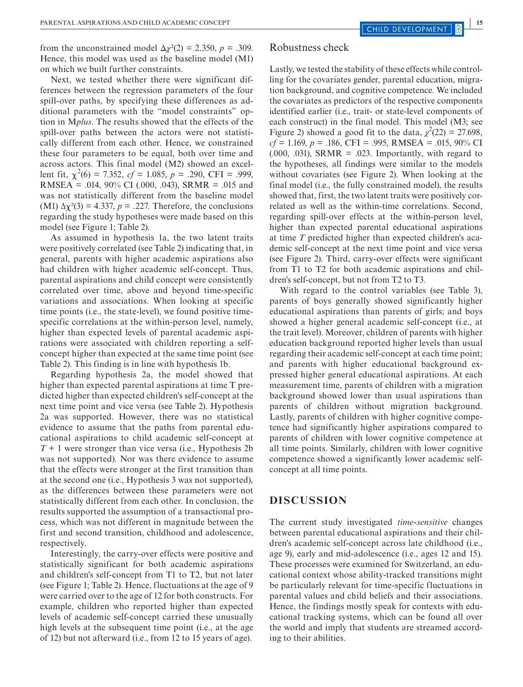from the unconstrained model  $\Delta \chi^2(2) = 2.350$ ,  $p = .309$ . Hence, this model was used as the baseline model (M1) on which we built further constraints.

Next, we tested whether there were significant differences between the regression parameters of the four spill-over paths, by specifying these differences as additional parameters with the "model constraints" option in M*plus*. The results showed that the effects of the spill-over paths between the actors were not statistically different from each other. Hence, we constrained these four parameters to be equal, both over time and across actors. This final model (M2) showed an excellent fit,  $\chi^2(6) = 7.352$ ,  $cf = 1.085$ ,  $p = .290$ , CFI = .999, RMSEA = .014, 90% CI (.000, .043), SRMR = .015 and was not statistically different from the baseline model (M1)  $\Delta \chi^2(3) = 4.337$ ,  $p = .227$ . Therefore, the conclusions regarding the study hypotheses were made based on this model (see Figure 1; Table 2).

As assumed in hypothesis 1a, the two latent traits were positively correlated (see Table 2) indicating that, in general, parents with higher academic aspirations also had children with higher academic self-concept. Thus, parental aspirations and child concept were consistently correlated over time, above and beyond time-specific variations and associations. When looking at specific time points (i.e., the state-level), we found positive timespecific correlations at the within-person level, namely, higher than expected levels of parental academic aspirations were associated with children reporting a selfconcept higher than expected at the same time point (see Table 2). This finding is in line with hypothesis 1b.

Regarding hypothesis 2a, the model showed that higher than expected parental aspirations at time T predicted higher than expected children's self-concept at the next time point and vice versa (see Table 2). Hypothesis 2a was supported. However, there was no statistical evidence to assume that the paths from parental educational aspirations to child academic self-concept at *T* + 1 were stronger than vice versa (i.e., Hypothesis 2b was not supported). Nor was there evidence to assume that the effects were stronger at the first transition than at the second one (i.e., Hypothesis 3 was not supported), as the differences between these parameters were not statistically different from each other. In conclusion, the results supported the assumption of a transactional process, which was not different in magnitude between the first and second transition, childhood and adolescence, respectively.

Interestingly, the carry-over effects were positive and statistically significant for both academic aspirations and children's self-concept from T1 to T2, but not later (see Figure 1; Table 2). Hence, fluctuations at the age of 9 were carried over to the age of 12 for both constructs. For example, children who reported higher than expected levels of academic self-concept carried these unusually high levels at the subsequent time point (i.e., at the age of 12) but not afterward (i.e., from 12 to 15 years of age).

#### Robustness check

Lastly, we tested the stability of these effects while controlling for the covariates gender, parental education, migration background, and cognitive competence. We included the covariates as predictors of the respective components identified earlier (i.e., trait- or state-level components of each construct) in the final model. This model (M3; see Figure 2) showed a good fit to the data,  $\chi^2(22) = 27.698$ , *cf* = 1.169, *p* = .186, CFI = .995, RMSEA = .015, 90% CI  $(0.000, 0.031)$ , SRMR = 0.023. Importantly, with regard to the hypotheses, all findings were similar to the models without covariates (see Figure 2). When looking at the final model (i.e., the fully constrained model), the results showed that, first, the two latent traits were positively correlated as well as the within-time correlations. Second, regarding spill-over effects at the within-person level, higher than expected parental educational aspirations at time *T* predicted higher than expected children's academic self-concept at the next time point and vice versa (see Figure 2). Third, carry-over effects were significant from T1 to T2 for both academic aspirations and children's self-concept, but not from T2 to T3.

With regard to the control variables (see Table 3), parents of boys generally showed significantly higher educational aspirations than parents of girls; and boys showed a higher general academic self-concept (i.e., at the trait level). Moreover, children of parents with higher education background reported higher levels than usual regarding their academic self-concept at each time point; and parents with higher educational background expressed higher general educational aspirations. At each measurement time, parents of children with a migration background showed lower than usual aspirations than parents of children without migration background. Lastly, parents of children with higher cognitive competence had significantly higher aspirations compared to parents of children with lower cognitive competence at all time points. Similarly, children with lower cognitive competence showed a significantly lower academic selfconcept at all time points.

## **DISCUSSION**

The current study investigated *time-sensitive* changes between parental educational aspirations and their children's academic self-concept across late childhood (i.e., age 9), early and mid-adolescence (i.e., ages 12 and 15). These processes were examined for Switzerland, an educational context whose ability-tracked transitions might be particularly relevant for time-specific fluctuations in parental values and child beliefs and their associations. Hence, the findings mostly speak for contexts with educational tracking systems, which can be found all over the world and imply that students are streamed according to their abilities.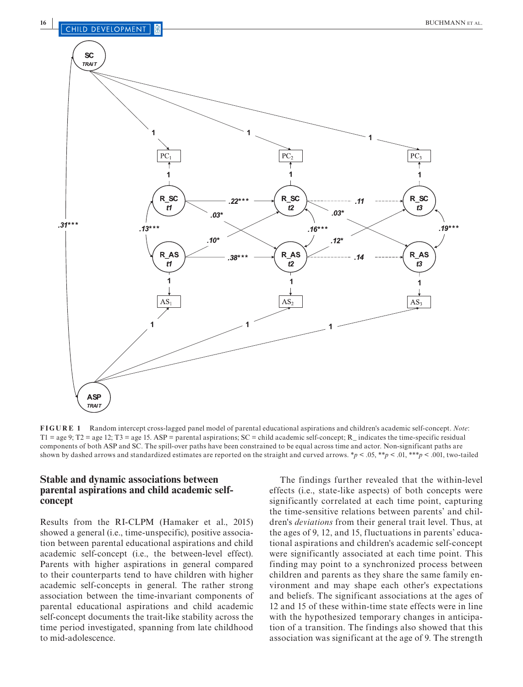

**FIGURE 1** Random intercept cross-lagged panel model of parental educational aspirations and children's academic self-concept. *Note*:  $T1 = age 9$ ;  $T2 = age 12$ ;  $T3 = age 15$ .  $ASP = parental$  aspirations;  $SC = child$  academic self-concept; R\_ indicates the time-specific residual components of both ASP and SC. The spill-over paths have been constrained to be equal across time and actor. Non-significant paths are shown by dashed arrows and standardized estimates are reported on the straight and curved arrows. \**p* < .05, \*\**p* < .01, \*\*\**p* < .001, two-tailed

### **Stable and dynamic associations between parental aspirations and child academic selfconcept**

Results from the RI-CLPM (Hamaker et al., 2015) showed a general (i.e., time-unspecific), positive association between parental educational aspirations and child academic self-concept (i.e., the between-level effect). Parents with higher aspirations in general compared to their counterparts tend to have children with higher academic self-concepts in general. The rather strong association between the time-invariant components of parental educational aspirations and child academic self-concept documents the trait-like stability across the time period investigated, spanning from late childhood to mid-adolescence.

The findings further revealed that the within-level effects (i.e., state-like aspects) of both concepts were significantly correlated at each time point, capturing the time-sensitive relations between parents' and children's *deviations* from their general trait level. Thus, at the ages of 9, 12, and 15, fluctuations in parents' educational aspirations and children's academic self-concept were significantly associated at each time point. This finding may point to a synchronized process between children and parents as they share the same family environment and may shape each other's expectations and beliefs. The significant associations at the ages of 12 and 15 of these within-time state effects were in line with the hypothesized temporary changes in anticipation of a transition. The findings also showed that this association was significant at the age of 9. The strength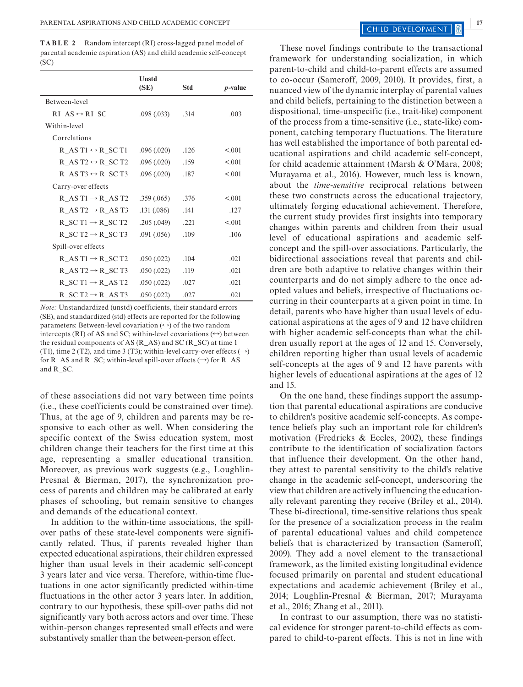**TABLE 2** Random intercept (RI) cross-lagged panel model of parental academic aspiration (AS) and child academic self-concept (SC)

|                                                               | Unstd<br>(SE) | Std  | <i>p</i> -value |
|---------------------------------------------------------------|---------------|------|-----------------|
| Between-level                                                 |               |      |                 |
| RI AS $\leftrightarrow$ RI SC                                 | .098(.033)    | .314 | .003            |
| Within-level                                                  |               |      |                 |
| Correlations                                                  |               |      |                 |
| $R$ <sub>_AS</sub> $T1 \leftrightarrow R$ <sub>_SC</sub> $T1$ | .096(.020)    | .126 | < 0.01          |
| R AS T2 $\leftrightarrow$ R SC T2                             | .096(.020)    | .159 | < 0.01          |
| R AS T3 $\leftrightarrow$ R SC T3                             | .096(.020)    | .187 | < 0.01          |
| Carry-over effects                                            |               |      |                 |
| R AS T1 $\rightarrow$ R AS T2                                 | .359(.065)    | .376 | < 0.01          |
| R AS $T2 \rightarrow R$ AS T3                                 | .131(.086)    | .141 | .127            |
| $R$ <sub>_SC</sub> $T1 \rightarrow R$ <sub>_SC</sub> $T2$     | .205(.049)    | .221 | < 0.01          |
| $R$ <sub>SC</sub> $T2 \rightarrow R$ <sub>SC</sub> $T3$       | .091(.056)    | .109 | .106            |
| Spill-over effects                                            |               |      |                 |
| $R\_AS T1 \rightarrow R\_SC T2$                               | .050(.022)    | .104 | .021            |
| $R\_AS T2 \rightarrow R\_SC T3$                               | .050(.022)    | .119 | .021            |
| $R$ <sub>-SC</sub> $T1 \rightarrow R$ <sub>-AS</sub> $T2$     | .050(.022)    | .027 | .021            |
| R SC T2 $\rightarrow$ R AS T3                                 | .050(.022)    | .027 | .021            |

*Note:* Unstandardized (unstd) coefficients, their standard errors (SE), and standardized (std) effects are reported for the following parameters: Between-level covariation  $(\leftrightarrow)$  of the two random intercepts (RI) of AS and SC; within-level covariations  $(\leftrightarrow)$  between the residual components of AS (R\_AS) and SC (R\_SC) at time 1 (T1), time 2 (T2), and time 3 (T3); within-level carry-over effects  $(\rightarrow)$ for R\_AS and R\_SC; within-level spill-over effects  $(\rightarrow)$  for R\_AS and R\_SC.

of these associations did not vary between time points (i.e., these coefficients could be constrained over time). Thus, at the age of 9, children and parents may be responsive to each other as well. When considering the specific context of the Swiss education system, most children change their teachers for the first time at this age, representing a smaller educational transition. Moreover, as previous work suggests (e.g., Loughlin-Presnal & Bierman, 2017), the synchronization process of parents and children may be calibrated at early phases of schooling, but remain sensitive to changes and demands of the educational context.

In addition to the within-time associations, the spillover paths of these state-level components were significantly related. Thus, if parents revealed higher than expected educational aspirations, their children expressed higher than usual levels in their academic self-concept 3 years later and vice versa. Therefore, within-time fluctuations in one actor significantly predicted within-time fluctuations in the other actor 3 years later. In addition, contrary to our hypothesis, these spill-over paths did not significantly vary both across actors and over time. These within-person changes represented small effects and were substantively smaller than the between-person effect.

These novel findings contribute to the transactional framework for understanding socialization, in which parent-to-child and child-to-parent effects are assumed to co-occur (Sameroff, 2009, 2010). It provides, first, a nuanced view of the dynamic interplay of parental values and child beliefs, pertaining to the distinction between a dispositional, time-unspecific (i.e., trait-like) component of the process from a time-sensitive (i.e., state-like) component, catching temporary fluctuations. The literature has well established the importance of both parental educational aspirations and child academic self-concept, for child academic attainment (Marsh & O'Mara, 2008; Murayama et al., 2016). However, much less is known, about the *time-sensitive* reciprocal relations between these two constructs across the educational trajectory, ultimately forging educational achievement. Therefore, the current study provides first insights into temporary changes within parents and children from their usual level of educational aspirations and academic selfconcept and the spill-over associations. Particularly, the bidirectional associations reveal that parents and children are both adaptive to relative changes within their counterparts and do not simply adhere to the once adopted values and beliefs, irrespective of fluctuations occurring in their counterparts at a given point in time. In detail, parents who have higher than usual levels of educational aspirations at the ages of 9 and 12 have children with higher academic self-concepts than what the children usually report at the ages of 12 and 15. Conversely, children reporting higher than usual levels of academic self-concepts at the ages of 9 and 12 have parents with higher levels of educational aspirations at the ages of 12 and 15.

On the one hand, these findings support the assumption that parental educational aspirations are conducive to children's positive academic self-concepts. As competence beliefs play such an important role for children's motivation (Fredricks & Eccles, 2002), these findings contribute to the identification of socialization factors that influence their development. On the other hand, they attest to parental sensitivity to the child's relative change in the academic self-concept, underscoring the view that children are actively influencing the educationally relevant parenting they receive (Briley et al., 2014). These bi-directional, time-sensitive relations thus speak for the presence of a socialization process in the realm of parental educational values and child competence beliefs that is characterized by transaction (Sameroff, 2009). They add a novel element to the transactional framework, as the limited existing longitudinal evidence focused primarily on parental and student educational expectations and academic achievement (Briley et al., 2014; Loughlin-Presnal & Bierman, 2017; Murayama et al., 2016; Zhang et al., 2011).

In contrast to our assumption, there was no statistical evidence for stronger parent-to-child effects as compared to child-to-parent effects. This is not in line with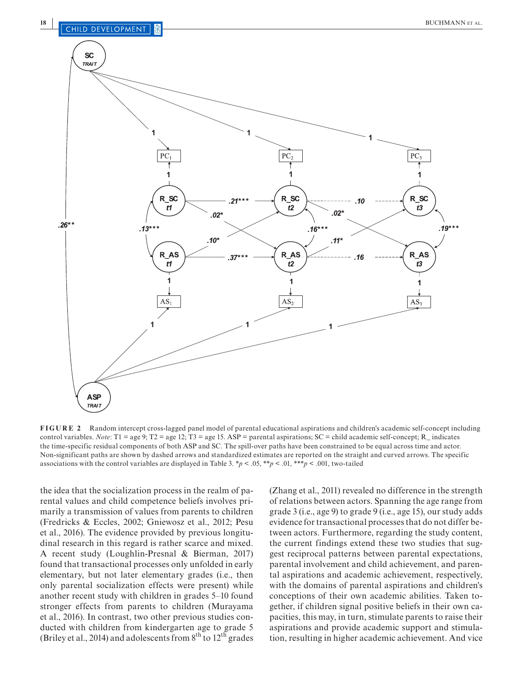

**FIGURE 2** Random intercept cross-lagged panel model of parental educational aspirations and children's academic self-concept including control variables. *Note*: T1 = age 9; T2 = age 12; T3 = age 15. ASP = parental aspirations; SC = child academic self-concept; R\_ indicates the time-specific residual components of both ASP and SC. The spill-over paths have been constrained to be equal across time and actor. Non-significant paths are shown by dashed arrows and standardized estimates are reported on the straight and curved arrows. The specific associations with the control variables are displayed in Table 3.  $*p < .05$ ,  $**p < .01$ ,  $***p < .001$ , two-tailed

the idea that the socialization process in the realm of parental values and child competence beliefs involves primarily a transmission of values from parents to children (Fredricks & Eccles, 2002; Gniewosz et al., 2012; Pesu et al., 2016). The evidence provided by previous longitudinal research in this regard is rather scarce and mixed. A recent study (Loughlin-Presnal & Bierman, 2017) found that transactional processes only unfolded in early elementary, but not later elementary grades (i.e., then only parental socialization effects were present) while another recent study with children in grades 5–10 found stronger effects from parents to children (Murayama et al., 2016). In contrast, two other previous studies conducted with children from kindergarten age to grade 5 (Briley et al., 2014) and adolescents from  $8<sup>th</sup>$  to  $12<sup>th</sup>$  grades

(Zhang et al., 2011) revealed no difference in the strength of relations between actors. Spanning the age range from grade 3 (i.e., age 9) to grade 9 (i.e., age 15), our study adds evidence for transactional processes that do not differ between actors. Furthermore, regarding the study content, the current findings extend these two studies that suggest reciprocal patterns between parental expectations, parental involvement and child achievement, and parental aspirations and academic achievement, respectively, with the domains of parental aspirations and children's conceptions of their own academic abilities. Taken together, if children signal positive beliefs in their own capacities, this may, in turn, stimulate parents to raise their aspirations and provide academic support and stimulation, resulting in higher academic achievement. And vice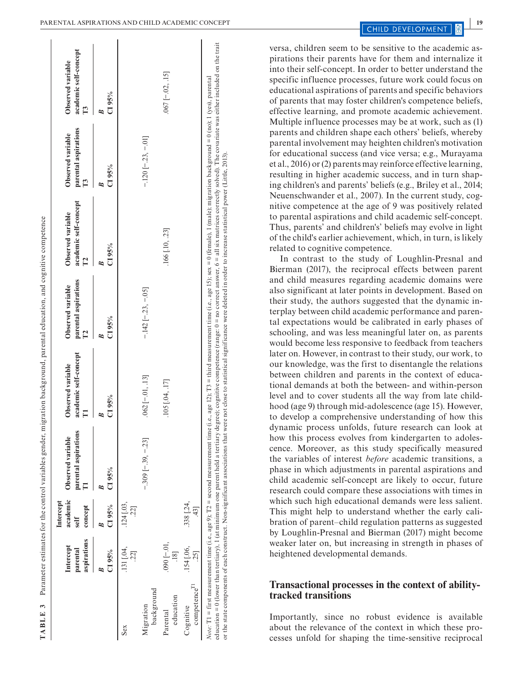I.  $\overline{a}$ 

 $\overline{1}$ 

 $\overline{\phantom{a}}$ 

|                                       |                                      |                                  |                                           | TABLE 3 Parameter estimates for the control variables gender, migration background, parental education, and cognitive competence |                                           |                                                                                                                                                                                                                                                                                                                                                                                                                                                                                                                                                                                                                                                        |                                           |                                                                       |
|---------------------------------------|--------------------------------------|----------------------------------|-------------------------------------------|----------------------------------------------------------------------------------------------------------------------------------|-------------------------------------------|--------------------------------------------------------------------------------------------------------------------------------------------------------------------------------------------------------------------------------------------------------------------------------------------------------------------------------------------------------------------------------------------------------------------------------------------------------------------------------------------------------------------------------------------------------------------------------------------------------------------------------------------------------|-------------------------------------------|-----------------------------------------------------------------------|
|                                       | aspirations<br>Intercept<br>parental | academic<br>Intercept<br>concept | parental aspirations<br>Observed variable | academic self-concept<br>Observed variable                                                                                       | parental aspirations<br>Observed variable | academic self-concept<br>Observed variable                                                                                                                                                                                                                                                                                                                                                                                                                                                                                                                                                                                                             | parental aspirations<br>Observed variable | academic self-concept<br>Observed variable<br>$\overline{\mathbf{L}}$ |
|                                       | C195%                                | C195%                            | C195%                                     | C195%<br>B                                                                                                                       | C195%                                     | C195%                                                                                                                                                                                                                                                                                                                                                                                                                                                                                                                                                                                                                                                  | C195%                                     | C195%<br>B                                                            |
| Sex                                   | $.131$ $[.04,$                       | $.124$ $[.03,$<br>221            |                                           |                                                                                                                                  |                                           |                                                                                                                                                                                                                                                                                                                                                                                                                                                                                                                                                                                                                                                        |                                           |                                                                       |
| background<br>Migration               |                                      |                                  | $-309$ $[-39, -23]$                       | $.062$ [ $-01, .13$ ]                                                                                                            | $-142$ [ $-23, -05$ ]                     |                                                                                                                                                                                                                                                                                                                                                                                                                                                                                                                                                                                                                                                        | $-120$ $[-23, -01]$                       |                                                                       |
| education<br>Parental                 | $.090[-.01,$<br>$\frac{1}{8}$        |                                  |                                           | .105 [.04, .17]                                                                                                                  |                                           | .166 [.10, .23]                                                                                                                                                                                                                                                                                                                                                                                                                                                                                                                                                                                                                                        |                                           | $.067$ [ $-.02, .15$ ]                                                |
| competence <sup>11</sup><br>Cognitive | .154 [.06,<br>251                    | .338 [.24,<br>$\frac{43}{5}$     |                                           |                                                                                                                                  |                                           |                                                                                                                                                                                                                                                                                                                                                                                                                                                                                                                                                                                                                                                        |                                           |                                                                       |
|                                       |                                      |                                  |                                           |                                                                                                                                  |                                           | education = 0 (lower than tertiary), 1 (at minimum one parent held a tertiary degree); cognitive competence (range: 0 = no correct answer, 6 = all six matrices correctly solved). The covariate was either included on the tr<br>Note: T1 = first measurement time (i.e., age 9); T2 = second measurement time (i.e., age 12); T3 = third measurement time (i.e., age 15); sex = 0 (female), 1 (male); migration background = 0 (no); 1 (yes), parental<br>or the state components of each construct. Non-significant associations that were not close to statistical significance were deleted in order to increase statistical power (Little, 2013) |                                           |                                                                       |

versa, children seem to be sensitive to the academic as pirations their parents have for them and internalize it into their self-concept. In order to better understand the specific influence processes, future work could focus on educational aspirations of parents and specific behaviors of parents that may foster children's competence beliefs, effective learning, and promote academic achievement. Multiple influence processes may be at work, such as (1) parents and children shape each others' beliefs, whereby parental involvement may heighten children's motivation for educational success (and vice versa; e.g., Murayama et al., 2016) or (2) parents may reinforce effective learning, resulting in higher academic success, and in turn shap ing children's and parents' beliefs (e.g., Briley et al., 2014; Neuenschwander et al., 2007). In the current study, cog nitive competence at the age of 9 was positively related to parental aspirations and child academic self-concept. Thus, parents' and children's' beliefs may evolve in light of the child's earlier achievement, which, in turn, is likely related to cognitive competence.

In contrast to the study of Loughlin-Presnal and Bierman (2017), the reciprocal effects between parent and child measures regarding academic domains were also significant at later points in development. Based on their study, the authors suggested that the dynamic in terplay between child academic performance and paren tal expectations would be calibrated in early phases of schooling, and was less meaningful later on, as parents would become less responsive to feedback from teachers later on. However, in contrast to their study, our work, to our knowledge, was the first to disentangle the relations between children and parents in the context of educa tional demands at both the between- and within-person level and to cover students all the way from late child hood (age 9) through mid-adolescence (age 15). However, to develop a comprehensive understanding of how this dynamic process unfolds, future research can look at how this process evolves from kindergarten to adolescence. Moreover, as this study specifically measured the variables of interest *before* academic transitions, a phase in which adjustments in parental aspirations and child academic self-concept are likely to occur, future research could compare these associations with times in which such high educational demands were less salient. This might help to understand whether the early cali bration of parent–child regulation patterns as suggested by Loughlin-Presnal and Bierman (2017) might become weaker later on, but increasing in strength in phases of heightened developmental demands.

### **Transactional processes in the context of abilitytracked transitions**

Importantly, since no robust evidence is available about the relevance of the context in which these pro cesses unfold for shaping the time-sensitive reciprocal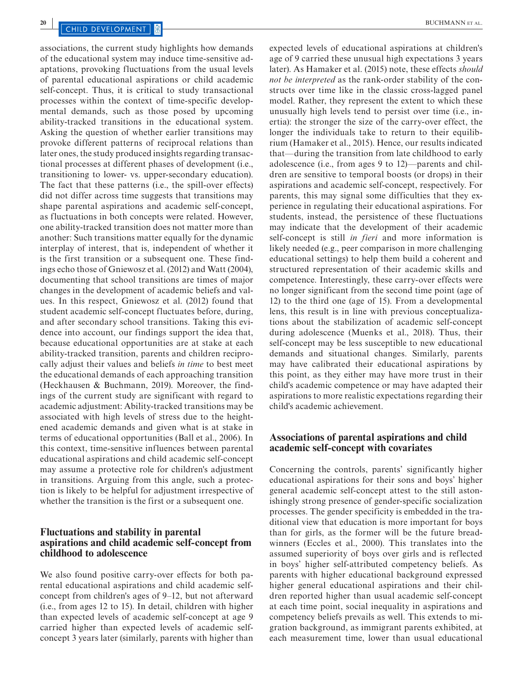associations, the current study highlights how demands of the educational system may induce time-sensitive adaptations, provoking fluctuations from the usual levels of parental educational aspirations or child academic self-concept. Thus, it is critical to study transactional processes within the context of time-specific developmental demands, such as those posed by upcoming ability-tracked transitions in the educational system. Asking the question of whether earlier transitions may provoke different patterns of reciprocal relations than later ones, the study produced insights regarding transactional processes at different phases of development (i.e., transitioning to lower- vs. upper-secondary education). The fact that these patterns (i.e., the spill-over effects) did not differ across time suggests that transitions may shape parental aspirations and academic self-concept, as fluctuations in both concepts were related. However, one ability-tracked transition does not matter more than another: Such transitions matter equally for the dynamic interplay of interest, that is, independent of whether it is the first transition or a subsequent one. These findings echo those of Gniewosz et al. (2012) and Watt (2004), documenting that school transitions are times of major changes in the development of academic beliefs and values. In this respect, Gniewosz et al. (2012) found that student academic self-concept fluctuates before, during, and after secondary school transitions. Taking this evidence into account, our findings support the idea that, because educational opportunities are at stake at each ability-tracked transition, parents and children reciprocally adjust their values and beliefs *in time* to best meet the educational demands of each approaching transition (Heckhausen & Buchmann, 2019). Moreover, the findings of the current study are significant with regard to academic adjustment: Ability-tracked transitions may be associated with high levels of stress due to the heightened academic demands and given what is at stake in terms of educational opportunities (Ball et al., 2006). In this context, time-sensitive influences between parental educational aspirations and child academic self-concept may assume a protective role for children's adjustment in transitions. Arguing from this angle, such a protection is likely to be helpful for adjustment irrespective of whether the transition is the first or a subsequent one.

#### **Fluctuations and stability in parental aspirations and child academic self-concept from childhood to adolescence**

We also found positive carry-over effects for both parental educational aspirations and child academic selfconcept from children's ages of 9–12, but not afterward (i.e., from ages 12 to 15). In detail, children with higher than expected levels of academic self-concept at age 9 carried higher than expected levels of academic selfconcept 3 years later (similarly, parents with higher than

expected levels of educational aspirations at children's age of 9 carried these unusual high expectations 3 years later). As Hamaker et al. (2015) note, these effects *should not be interpreted* as the rank-order stability of the constructs over time like in the classic cross-lagged panel model. Rather, they represent the extent to which these unusually high levels tend to persist over time (i.e., inertia): the stronger the size of the carry-over effect, the longer the individuals take to return to their equilibrium (Hamaker et al., 2015). Hence, our results indicated that—during the transition from late childhood to early adolescence (i.e., from ages 9 to 12)—parents and children are sensitive to temporal boosts (or drops) in their aspirations and academic self-concept, respectively. For parents, this may signal some difficulties that they experience in regulating their educational aspirations. For students, instead, the persistence of these fluctuations may indicate that the development of their academic self-concept is still *in fieri* and more information is likely needed (e.g., peer comparison in more challenging educational settings) to help them build a coherent and structured representation of their academic skills and competence. Interestingly, these carry-over effects were no longer significant from the second time point (age of 12) to the third one (age of 15). From a developmental lens, this result is in line with previous conceptualizations about the stabilization of academic self-concept during adolescence (Muenks et al., 2018). Thus, their self-concept may be less susceptible to new educational demands and situational changes. Similarly, parents may have calibrated their educational aspirations by this point, as they either may have more trust in their child's academic competence or may have adapted their aspirations to more realistic expectations regarding their child's academic achievement.

#### **Associations of parental aspirations and child academic self-concept with covariates**

Concerning the controls, parents' significantly higher educational aspirations for their sons and boys' higher general academic self-concept attest to the still astonishingly strong presence of gender-specific socialization processes. The gender specificity is embedded in the traditional view that education is more important for boys than for girls, as the former will be the future breadwinners (Eccles et al., 2000). This translates into the assumed superiority of boys over girls and is reflected in boys' higher self-attributed competency beliefs. As parents with higher educational background expressed higher general educational aspirations and their children reported higher than usual academic self-concept at each time point, social inequality in aspirations and competency beliefs prevails as well. This extends to migration background, as immigrant parents exhibited, at each measurement time, lower than usual educational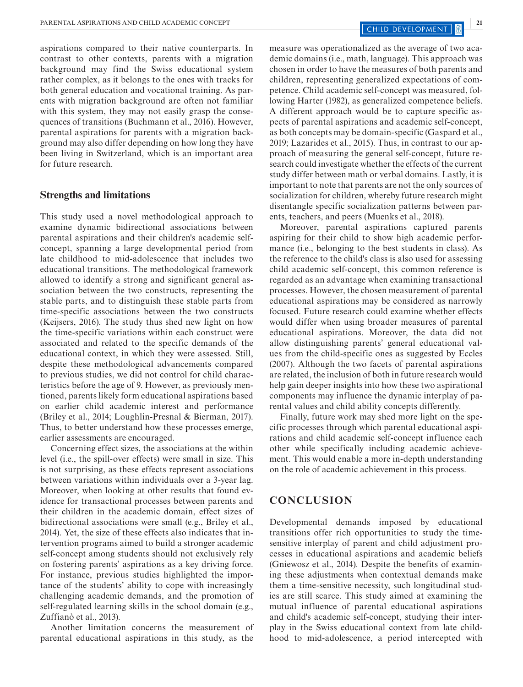aspirations compared to their native counterparts. In contrast to other contexts, parents with a migration background may find the Swiss educational system rather complex, as it belongs to the ones with tracks for both general education and vocational training. As parents with migration background are often not familiar with this system, they may not easily grasp the consequences of transitions (Buchmann et al., 2016). However, parental aspirations for parents with a migration background may also differ depending on how long they have been living in Switzerland, which is an important area for future research.

#### **Strengths and limitations**

This study used a novel methodological approach to examine dynamic bidirectional associations between parental aspirations and their children's academic selfconcept, spanning a large developmental period from late childhood to mid-adolescence that includes two educational transitions. The methodological framework allowed to identify a strong and significant general association between the two constructs, representing the stable parts, and to distinguish these stable parts from time-specific associations between the two constructs (Keijsers, 2016). The study thus shed new light on how the time-specific variations within each construct were associated and related to the specific demands of the educational context, in which they were assessed. Still, despite these methodological advancements compared to previous studies, we did not control for child characteristics before the age of 9. However, as previously mentioned, parents likely form educational aspirations based on earlier child academic interest and performance (Briley et al., 2014; Loughlin-Presnal & Bierman, 2017). Thus, to better understand how these processes emerge, earlier assessments are encouraged.

Concerning effect sizes, the associations at the within level (i.e., the spill-over effects) were small in size. This is not surprising, as these effects represent associations between variations within individuals over a 3-year lag. Moreover, when looking at other results that found evidence for transactional processes between parents and their children in the academic domain, effect sizes of bidirectional associations were small (e.g., Briley et al., 2014). Yet, the size of these effects also indicates that intervention programs aimed to build a stronger academic self-concept among students should not exclusively rely on fostering parents' aspirations as a key driving force. For instance, previous studies highlighted the importance of the students' ability to cope with increasingly challenging academic demands, and the promotion of self-regulated learning skills in the school domain (e.g., Zuffianò et al., 2013).

Another limitation concerns the measurement of parental educational aspirations in this study, as the

measure was operationalized as the average of two academic domains (i.e., math, language). This approach was chosen in order to have the measures of both parents and children, representing generalized expectations of competence. Child academic self-concept was measured, following Harter (1982), as generalized competence beliefs. A different approach would be to capture specific aspects of parental aspirations and academic self-concept, as both concepts may be domain-specific (Gaspard et al., 2019; Lazarides et al., 2015). Thus, in contrast to our approach of measuring the general self-concept, future research could investigate whether the effects of the current study differ between math or verbal domains. Lastly, it is important to note that parents are not the only sources of socialization for children, whereby future research might disentangle specific socialization patterns between parents, teachers, and peers (Muenks et al., 2018).

Moreover, parental aspirations captured parents aspiring for their child to show high academic performance (i.e., belonging to the best students in class). As the reference to the child's class is also used for assessing child academic self-concept, this common reference is regarded as an advantage when examining transactional processes. However, the chosen measurement of parental educational aspirations may be considered as narrowly focused. Future research could examine whether effects would differ when using broader measures of parental educational aspirations. Moreover, the data did not allow distinguishing parents' general educational values from the child-specific ones as suggested by Eccles (2007). Although the two facets of parental aspirations are related, the inclusion of both in future research would help gain deeper insights into how these two aspirational components may influence the dynamic interplay of parental values and child ability concepts differently.

Finally, future work may shed more light on the specific processes through which parental educational aspirations and child academic self-concept influence each other while specifically including academic achievement. This would enable a more in-depth understanding on the role of academic achievement in this process.

### **CONCLUSION**

Developmental demands imposed by educational transitions offer rich opportunities to study the timesensitive interplay of parent and child adjustment processes in educational aspirations and academic beliefs (Gniewosz et al., 2014). Despite the benefits of examining these adjustments when contextual demands make them a time-sensitive necessity, such longitudinal studies are still scarce. This study aimed at examining the mutual influence of parental educational aspirations and child's academic self-concept, studying their interplay in the Swiss educational context from late childhood to mid-adolescence, a period intercepted with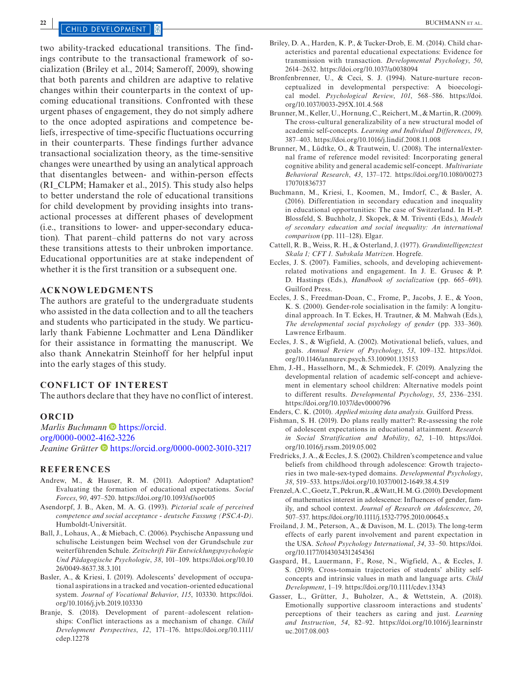## **22 <b>DEVELOPMENT 8**

two ability-tracked educational transitions. The findings contribute to the transactional framework of socialization (Briley et al., 2014; Sameroff, 2009), showing that both parents and children are adaptive to relative changes within their counterparts in the context of upcoming educational transitions. Confronted with these urgent phases of engagement, they do not simply adhere to the once adopted aspirations and competence beliefs, irrespective of time-specific fluctuations occurring in their counterparts. These findings further advance transactional socialization theory, as the time-sensitive changes were unearthed by using an analytical approach that disentangles between- and within-person effects (RI\_CLPM; Hamaker et al., 2015). This study also helps to better understand the role of educational transitions for child development by providing insights into transactional processes at different phases of development (i.e., transitions to lower- and upper-secondary education). That parent–child patterns do not vary across these transitions attests to their unbroken importance. Educational opportunities are at stake independent of whether it is the first transition or a subsequent one.

#### **ACKNOWLEDGMENTS**

The authors are grateful to the undergraduate students who assisted in the data collection and to all the teachers and students who participated in the study. We particularly thank Fabienne Lochmatter and Lena Dändliker for their assistance in formatting the manuscript. We also thank Annekatrin Steinhoff for her helpful input into the early stages of this study.

#### **CONFLICT OF INTEREST**

The authors declare that they have no conflict of interest.

#### **ORCID**

*Marlis Buchmann* **[https://orcid.](https://orcid.org/0000-0002-4162-3226)** 

[org/0000-0002-4162-3226](https://orcid.org/0000-0002-4162-3226)

*Jeanine Grütter* **b** <https://orcid.org/0000-0002-3010-3217>

#### **REFERENCES**

- Andrew, M., & Hauser, R. M. (2011). Adoption? Adaptation? Evaluating the formation of educational expectations. *Social Forces*, *90*, 497–520. <https://doi.org/10.1093/sf/sor005>
- Asendorpf, J. B., Aken, M. A. G. (1993). *Pictorial scale of perceived competence and social acceptance - deutsche Fassung (PSCA-D)*. Humboldt-Universität.
- Ball, J., Lohaus, A., & Miebach, C. (2006). Psychische Anpassung und schulische Leistungen beim Wechsel von der Grundschule zur weiterführenden Schule. *Zeitschrift Für Entwicklungspsychologie Und Pädagogische Psychologie*, *38*, 101–109. [https://doi.org/10.10](https://doi.org/10.1026/0049-8637.38.3.101) [26/0049-8637.38.3.101](https://doi.org/10.1026/0049-8637.38.3.101)
- Basler, A., & Kriesi, I. (2019). Adolescents' development of occupational aspirations in a tracked and vocation-oriented educational system. *Journal of Vocational Behavior*, *115*, 103330. [https://doi.](https://doi.org/10.1016/j.jvb.2019.103330) [org/10.1016/j.jvb.2019.103330](https://doi.org/10.1016/j.jvb.2019.103330)
- Branje, S. (2018). Development of parent–adolescent relationships: Conflict interactions as a mechanism of change. *Child Development Perspectives*, *12*, 171–176. [https://doi.org/10.1111/](https://doi.org/10.1111/cdep.12278) [cdep.12278](https://doi.org/10.1111/cdep.12278)
- Briley, D. A., Harden, K. P., & Tucker-Drob, E. M. (2014). Child characteristics and parental educational expectations: Evidence for transmission with transaction. *Developmental Psychology*, *50*, 2614–2632. <https://doi.org/10.1037/a0038094>
- Bronfenbrenner, U., & Ceci, S. J. (1994). Nature-nurture reconceptualized in developmental perspective: A bioecological model. *Psychological Review*, *101*, 568–586. [https://doi.](https://doi.org/10.1037/0033-295X.101.4.568) [org/10.1037/0033-295X.101.4.568](https://doi.org/10.1037/0033-295X.101.4.568)
- Brunner, M., Keller, U., Hornung, C., Reichert, M., & Martin, R. (2009). The cross-cultural generalizability of a new structural model of academic self-concepts. *Learning and Individual Differences*, *19*, 387–403.<https://doi.org/10.1016/j.lindif.2008.11.008>
- Brunner, M., Lüdtke, O., & Trautwein, U. (2008). The internal/external frame of reference model revisited: Incorporating general cognitive ability and general academic self-concept. *Multivariate Behavioral Research*, *43*, 137–172. [https://doi.org/10.1080/00273](https://doi.org/10.1080/00273170701836737) [170701836737](https://doi.org/10.1080/00273170701836737)
- Buchmann, M., Kriesi, I., Koomen, M., Imdorf, C., & Basler, A. (2016). Differentiation in secondary education and inequality in educational opportunities: The case of Switzerland. In H.-P. Blossfeld, S. Buchholz, J. Skopek, & M. Triventi (Eds.), *Models of secondary education and social inequality: An international comparison* (pp. 111–128). Elgar.
- Cattell, R. B., Weiss, R. H., & Osterland, J. (1977). *Grundintelligenztest Skala 1; CFT 1. Subskala Matrizen*. Hogrefe.
- Eccles, J. S. (2007). Families, schools, and developing achievementrelated motivations and engagement. In J. E. Grusec & P. D. Hastings (Eds.), *Handbook of socialization* (pp. 665–691). Guilford Press.
- Eccles, J. S., Freedman-Doan, C., Frome, P., Jacobs, J. E., & Yoon, K. S. (2000). Gender-role socialisation in the family: A longitudinal approach. In T. Eckes, H. Trautner, & M. Mahwah (Eds.), *The developmental social psychology of gender* (pp. 333–360). Lawrence Erlbaum.
- Eccles, J. S., & Wigfield, A. (2002). Motivational beliefs, values, and goals. *Annual Review of Psychology*, *53*, 109–132. [https://doi.](https://doi.org/10.1146/annurev.psych.53.100901.135153) [org/10.1146/annurev.psych.53.100901.135153](https://doi.org/10.1146/annurev.psych.53.100901.135153)
- Ehm, J.-H., Hasselhorn, M., & Schmiedek, F. (2019). Analyzing the developmental relation of academic self-concept and achievement in elementary school children: Alternative models point to different results. *Developmental Psychology*, *55*, 2336–2351. <https://doi.org/10.1037/dev0000796>
- Enders, C. K. (2010). *Applied missing data analysis*. Guilford Press.
- Fishman, S. H. (2019). Do plans really matter?: Re-assessing the role of adolescent expectations in educational attainment. *Research in Social Stratification and Mobility*, *62*, 1–10. [https://doi.](https://doi.org/10.1016/j.rssm.2019.05.002) [org/10.1016/j.rssm.2019.05.002](https://doi.org/10.1016/j.rssm.2019.05.002)
- Fredricks, J. A., & Eccles, J. S. (2002). Children's competence and value beliefs from childhood through adolescence: Growth trajectories in two male-sex-typed domains. *Developmental Psychology*, *38*, 519–533. <https://doi.org/10.1037/0012-1649.38.4.519>
- Frenzel, A. C., Goetz, T., Pekrun, R., & Watt, H. M. G. (2010). Development of mathematics interest in adolescence: Influences of gender, family, and school context. *Journal of Research on Adolescence*, *20*, 507–537.<https://doi.org/10.1111/j.1532-7795.2010.00645.x>
- Froiland, J. M., Peterson, A., & Davison, M. L. (2013). The long-term effects of early parent involvement and parent expectation in the USA. *School Psychology International*, *34*, 33–50. [https://doi.](https://doi.org/10.1177/0143034312454361) [org/10.1177/0143034312454361](https://doi.org/10.1177/0143034312454361)
- Gaspard, H., Lauermann, F., Rose, N., Wigfield, A., & Eccles, J. S. (2019). Cross-tomain trajectories of students' ability selfconcepts and intrinsic values in math and language arts. *Child Development*, 1–19. <https://doi.org/10.1111/cdev.13343>
- Gasser, L., Grütter, J., Buholzer, A., & Wettstein, A. (2018). Emotionally supportive classroom interactions and students' perceptions of their teachers as caring and just. *Learning and Instruction*, *54*, 82–92. [https://doi.org/10.1016/j.learninstr](https://doi.org/10.1016/j.learninstruc.2017.08.003) [uc.2017.08.003](https://doi.org/10.1016/j.learninstruc.2017.08.003)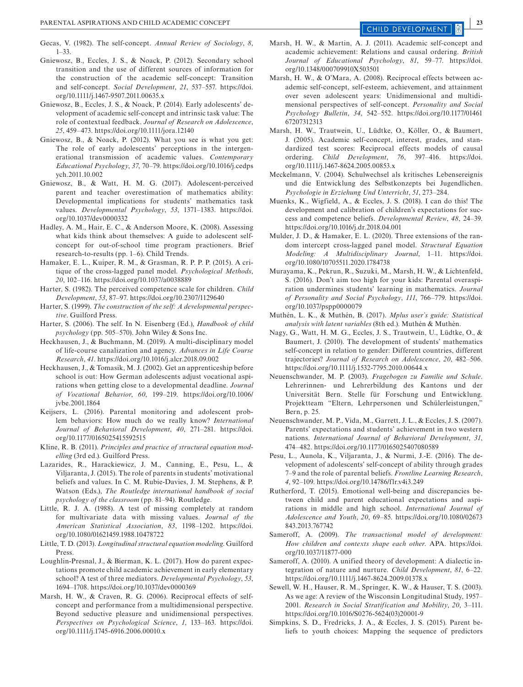- Gecas, V. (1982). The self-concept. *Annual Review of Sociology*, *8*, 1–33.
- Gniewosz, B., Eccles, J. S., & Noack, P. (2012). Secondary school transition and the use of different sources of information for the construction of the academic self-concept: Transition and self-concept. *Social Development*, *21*, 537–557. [https://doi.](https://doi.org/10.1111/j.1467-9507.2011.00635.x) [org/10.1111/j.1467-9507.2011.00635.x](https://doi.org/10.1111/j.1467-9507.2011.00635.x)
- Gniewosz, B., Eccles, J. S., & Noack, P. (2014). Early adolescents' development of academic self-concept and intrinsic task value: The role of contextual feedback. *Journal of Research on Adolescence*, *25*, 459–473. <https://doi.org/10.1111/jora.12140>
- Gniewosz, B., & Noack, P. (2012). What you see is what you get: The role of early adolescents' perceptions in the intergenerational transmission of academic values. *Contemporary Educational Psychology*, *37*, 70–79. [https://doi.org/10.1016/j.cedps](https://doi.org/10.1016/j.cedpsych.2011.10.002) [ych.2011.10.002](https://doi.org/10.1016/j.cedpsych.2011.10.002)
- Gniewosz, B., & Watt, H. M. G. (2017). Adolescent-perceived parent and teacher overestimation of mathematics ability: Developmental implications for students' mathematics task values. *Developmental Psychology*, *53*, 1371–1383. [https://doi.](https://doi.org/10.1037/dev0000332) [org/10.1037/dev0000332](https://doi.org/10.1037/dev0000332)
- Hadley, A. M., Hair, E. C., & Anderson Moore, K. (2008). Assessing what kids think about themselves: A guide to adolescent selfconcept for out-of-school time program practioners. Brief research-to-results (pp. 1–6). Child Trends.
- Hamaker, E. L., Kuiper, R. M., & Grasman, R. P. P. P. (2015). A critique of the cross-lagged panel model. *Psychological Methods*, *20*, 102–116.<https://doi.org/10.1037/a0038889>
- Harter, S. (1982). The perceived competence scale for children. *Child Development*, *53*, 87–97.<https://doi.org/10.2307/1129640>
- Harter, S. (1999). *The construction of the self: A developmental perspective*. Guilford Press.
- Harter, S. (2006). The self. In N. Eisenberg (Ed.), *Handbook of child psychology* (pp. 505–570). John Wiley & Sons Inc.
- Heckhausen, J., & Buchmann, M. (2019). A multi-disciplinary model of life-course canalization and agency. *Advances in Life Course Research*, *41*. <https://doi.org/10.1016/j.alcr.2018.09.002>
- Heckhausen, J., & Tomasik, M. J. (2002). Get an apprenticeship before school is out: How German adolescents adjust vocational aspirations when getting close to a developmental deadline. *Journal of Vocational Behavior*, *60*, 199–219. [https://doi.org/10.1006/](https://doi.org/10.1006/jvbe.2001.1864) [jvbe.2001.1864](https://doi.org/10.1006/jvbe.2001.1864)
- Keijsers, L. (2016). Parental monitoring and adolescent problem behaviors: How much do we really know? *International Journal of Behavioral Development*, *40*, 271–281. [https://doi.](https://doi.org/10.1177/0165025415592515) [org/10.1177/0165025415592515](https://doi.org/10.1177/0165025415592515)
- Kline, R. B. (2011). *Principles and practice of structural equation modelling* (3rd ed.). Guilford Press.
- Lazarides, R., Harackiewicz, J. M., Canning, E., Pesu, L., & Viljaranta, J. (2015). The role of parents in students' motivational beliefs and values. In C. M. Rubie-Davies, J. M. Stephens, & P. Watson (Eds.), *The Routledge international handbook of social psychology of the classroom* (pp. 81–94). Routledge.
- Little, R. J. A. (1988). A test of missing completely at random for multivariate data with missing values. *Journal of the American Statistical Association*, *83*, 1198–1202. [https://doi.](https://doi.org/10.1080/01621459.1988.10478722) [org/10.1080/01621459.1988.10478722](https://doi.org/10.1080/01621459.1988.10478722)
- Little, T. D. (2013). *Longitudinal structural equation modeling*. Guilford Press.
- Loughlin-Presnal, J., & Bierman, K. L. (2017). How do parent expectations promote child academic achievement in early elementary school? A test of three mediators. *Developmental Psychology*, *53*, 1694–1708.<https://doi.org/10.1037/dev0000369>
- Marsh, H. W., & Craven, R. G. (2006). Reciprocal effects of selfconcept and performance from a multidimensional perspective. Beyond seductive pleasure and unidimensional perspectives. *Perspectives on Psychological Science*, *1*, 133–163. [https://doi.](https://doi.org/10.1111/j.1745-6916.2006.00010.x) [org/10.1111/j.1745-6916.2006.00010.x](https://doi.org/10.1111/j.1745-6916.2006.00010.x)
- Marsh, H. W., & Martin, A. J. (2011). Academic self-concept and academic achievement: Relations and causal ordering. *British Journal of Educational Psychology*, *81*, 59–77. [https://doi.](https://doi.org/10.1348/000709910X503501) [org/10.1348/000709910X503501](https://doi.org/10.1348/000709910X503501)
- Marsh, H. W., & O'Mara, A. (2008). Reciprocal effects between academic self-concept, self-esteem, achievement, and attainment over seven adolescent years: Unidimensional and multidimensional perspectives of self-concept. *Personality and Social Psychology Bulletin*, *34*, 542–552. [https://doi.org/10.1177/01461](https://doi.org/10.1177/0146167207312313) [67207312313](https://doi.org/10.1177/0146167207312313)
- Marsh, H. W., Trautwein, U., Lüdtke, O., Köller, O., & Baumert, J. (2005). Academic self-concept, interest, grades, and standardized test scores: Reciprocal effects models of causal ordering. *Child Development*, *76*, 397–416. [https://doi.](https://doi.org/10.1111/j.1467-8624.2005.00853.x) [org/10.1111/j.1467-8624.2005.00853.x](https://doi.org/10.1111/j.1467-8624.2005.00853.x)
- Meckelmann, V. (2004). Schulwechsel als kritisches Lebensereignis und die Entwicklung des Selbstkonzepts bei Jugendlichen. *Psychologie in Erziehung Und Unterricht*, *51*, 273–284.
- Muenks, K., Wigfield, A., & Eccles, J. S. (2018). I can do this! The development and calibration of children's expectations for success and competence beliefs. *Developmental Review*, *48*, 24–39. <https://doi.org/10.1016/j.dr.2018.04.001>
- Mulder, J. D., & Hamaker, E. L. (2020). Three extensions of the random intercept cross-lagged panel model. *Structural Equation Modeling: A Multidisciplinary Journal*, 1–11. [https://doi.](https://doi.org/10.1080/10705511.2020.1784738) [org/10.1080/10705511.2020.1784738](https://doi.org/10.1080/10705511.2020.1784738)
- Murayama, K., Pekrun, R., Suzuki, M., Marsh, H. W., & Lichtenfeld, S. (2016). Don't aim too high for your kids: Parental overaspiration undermines students' learning in mathematics. *Journal of Personality and Social Psychology*, *111*, 766–779. [https://doi.](https://doi.org/10.1037/pspp0000079) [org/10.1037/pspp0000079](https://doi.org/10.1037/pspp0000079)
- Muthén, L. K., & Muthén, B. (2017). *Mplus user's guide: Statistical analysis with latent variables* (8th ed.). Muthén & Muthén.
- Nagy, G., Watt, H. M. G., Eccles, J. S., Trautwein, U., Lüdtke, O., & Baumert, J. (2010). The development of students' mathematics self-concept in relation to gender: Different countries, different trajectories? *Journal of Research on Adolescence*, *20*, 482–506. <https://doi.org/10.1111/j.1532-7795.2010.00644.x>
- Neuenschwander, M. P. (2003). *Fragebogen zu Familie und Schule*. Lehrerinnen- und Lehrerbildung des Kantons und der Universität Bern. Stelle für Forschung und Entwicklung. Projektteam "Eltern, Lehrpersonen und Schülerleistungen," Bern, p. 25.
- Neuenschwander, M. P., Vida, M., Garrett, J. L., & Eccles, J. S. (2007). Parents' expectations and students' achievement in two western nations. *International Journal of Behavioral Development*, *31*, 474–482. <https://doi.org/10.1177/0165025407080589>
- Pesu, L., Aunola, K., Viljaranta, J., & Nurmi, J.-E. (2016). The development of adolescents' self-concept of ability through grades 7–9 and the role of parental beliefs. *Frontline Learning Research*, *4*, 92–109. <https://doi.org/10.14786/flr.v4i3.249>
- Rutherford, T. (2015). Emotional well-being and discrepancies between child and parent educational expectations and aspirations in middle and high school. *International Journal of Adolescence and Youth*, *20*, 69–85. [https://doi.org/10.1080/02673](https://doi.org/10.1080/02673843.2013.767742) [843.2013.767742](https://doi.org/10.1080/02673843.2013.767742)
- Sameroff, A. (2009). *The transactional model of development: How children and contexts shape each other*. APA. [https://doi.](https://doi.org/10.1037/11877-000) [org/10.1037/11877-000](https://doi.org/10.1037/11877-000)
- Sameroff, A. (2010). A unified theory of development: A dialectic integration of nature and nurture. *Child Development*, *81*, 6–22. <https://doi.org/10.1111/j.1467-8624.2009.01378.x>
- Sewell, W. H., Hauser, R. M., Springer, K. W., & Hauser, T. S. (2003). As we age: A review of the Wisconsin Longitudinal Study, 1957– 2001. *Research in Social Stratification and Mobility*, *20*, 3–111. [https://doi.org/10.1016/S0276-5624\(03\)20001-9](https://doi.org/10.1016/S0276-5624(03)20001-9)
- Simpkins, S. D., Fredricks, J. A., & Eccles, J. S. (2015). Parent beliefs to youth choices: Mapping the sequence of predictors